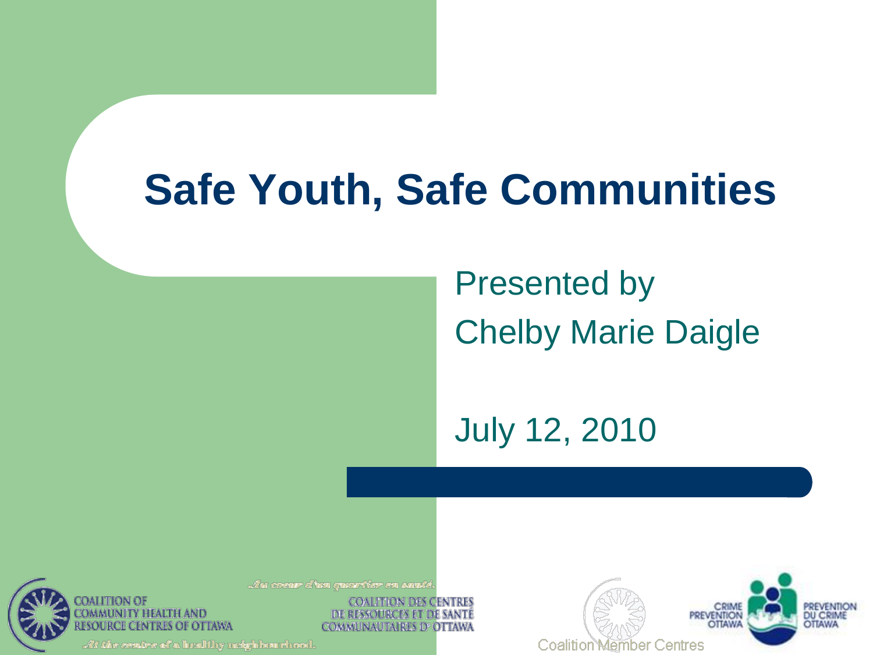### **Safe Youth, Safe Communities**

Presented by Chelby Marie Daigle

July 12, 2010



**ITION DES CENTRES** DE RESSOURCES ET DE SANTE **COMMUNAUTAIRES D'OTTAWA** 



.*Alt the contre of a* healthy neighbourinced.

OTTAWA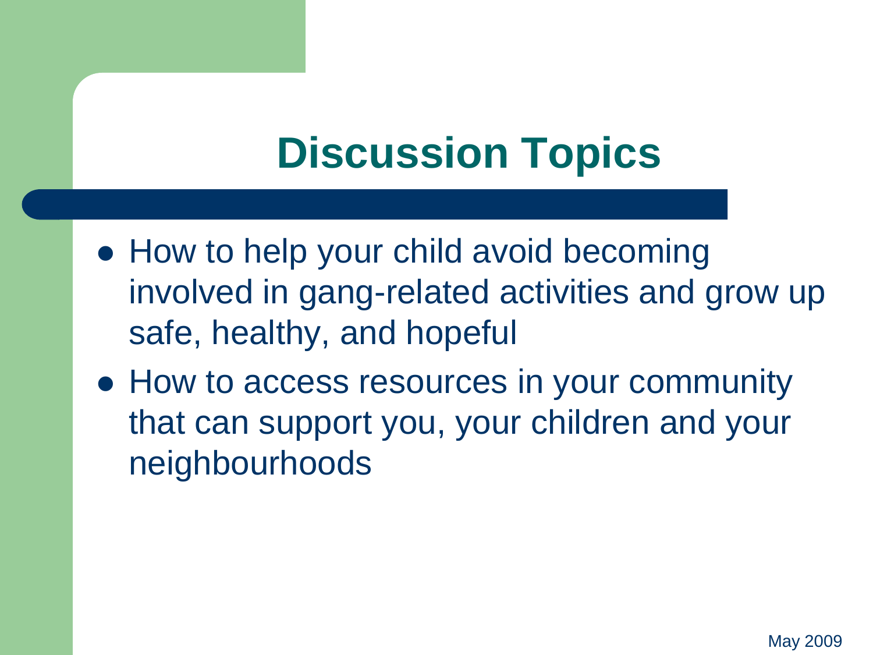### **Discussion Topics**

- How to help your child avoid becoming involved in gang-related activities and grow up safe, healthy, and hopeful
- How to access resources in your community that can support you, your children and your neighbourhoods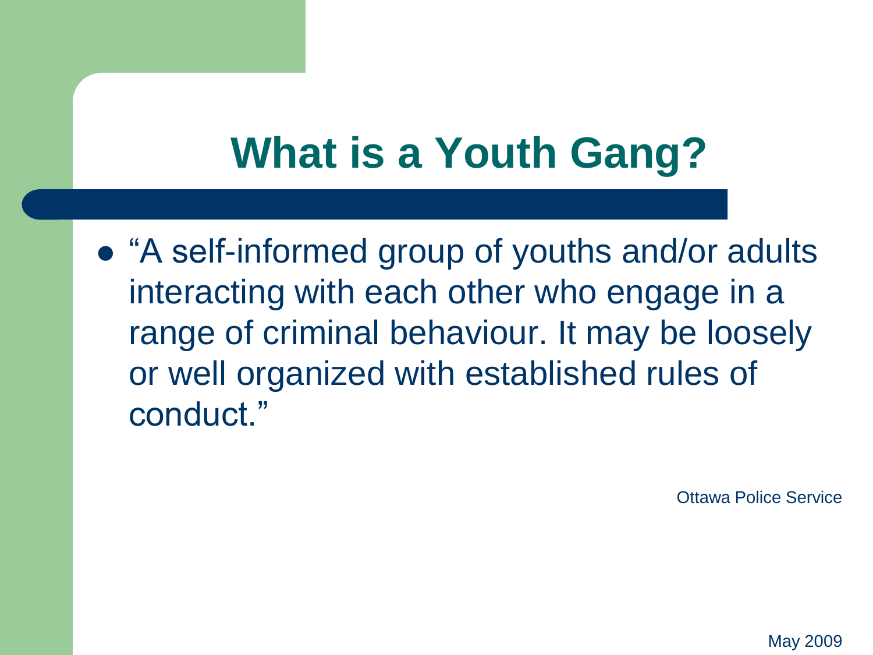# **What is a Youth Gang?**

 "A self-informed group of youths and/or adults interacting with each other who engage in a range of criminal behaviour. It may be loosely or well organized with established rules of conduct."

Ottawa Police Service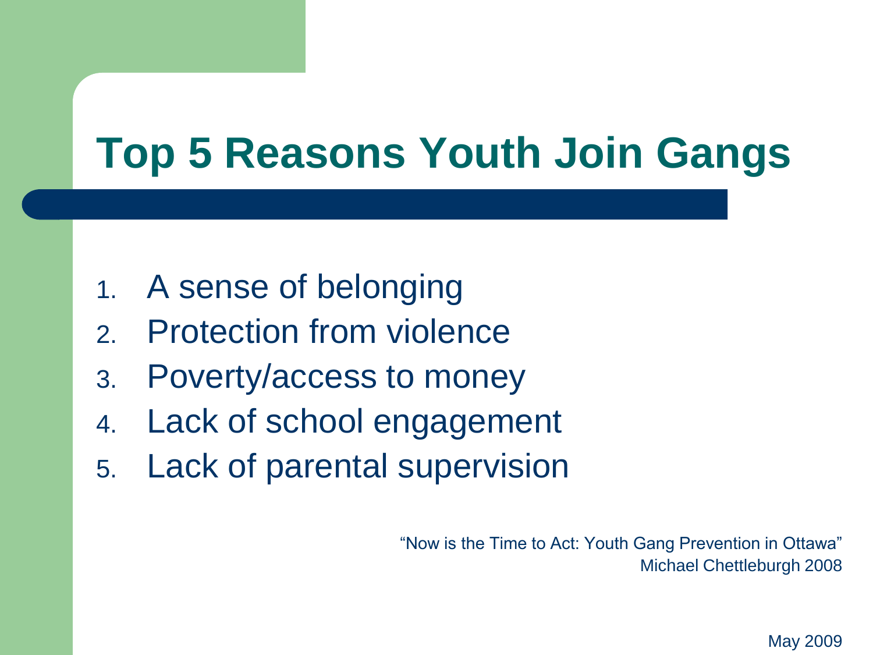# **Top 5 Reasons Youth Join Gangs**

- 1. A sense of belonging
- 2. Protection from violence
- 3. Poverty/access to money
- 4. Lack of school engagement
- 5. Lack of parental supervision

"Now is the Time to Act: Youth Gang Prevention in Ottawa" Michael Chettleburgh 2008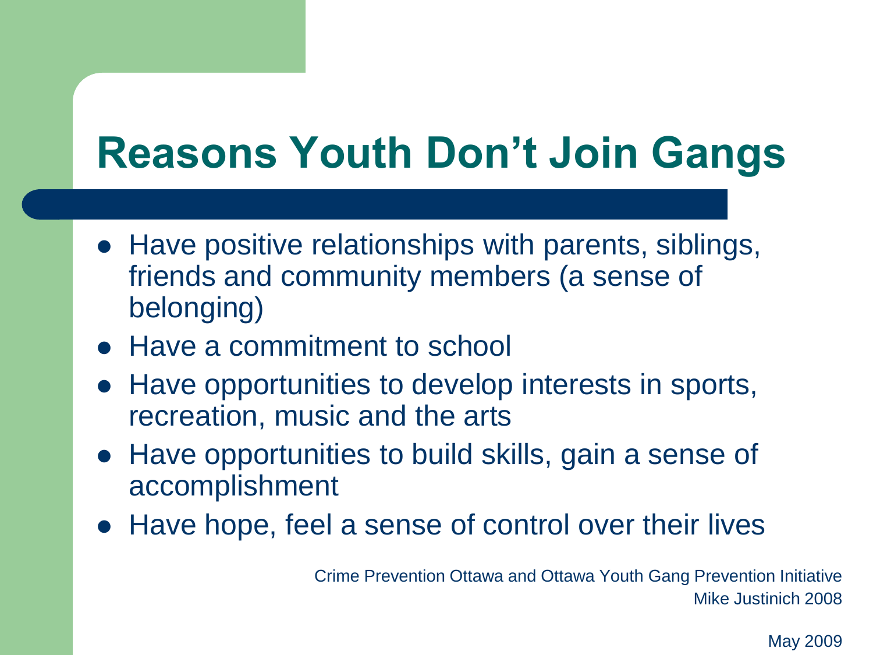### **Reasons Youth Don't Join Gangs**

- Have positive relationships with parents, siblings, friends and community members (a sense of belonging)
- Have a commitment to school
- Have opportunities to develop interests in sports, recreation, music and the arts
- Have opportunities to build skills, gain a sense of accomplishment
- Have hope, feel a sense of control over their lives

Crime Prevention Ottawa and Ottawa Youth Gang Prevention Initiative Mike Justinich 2008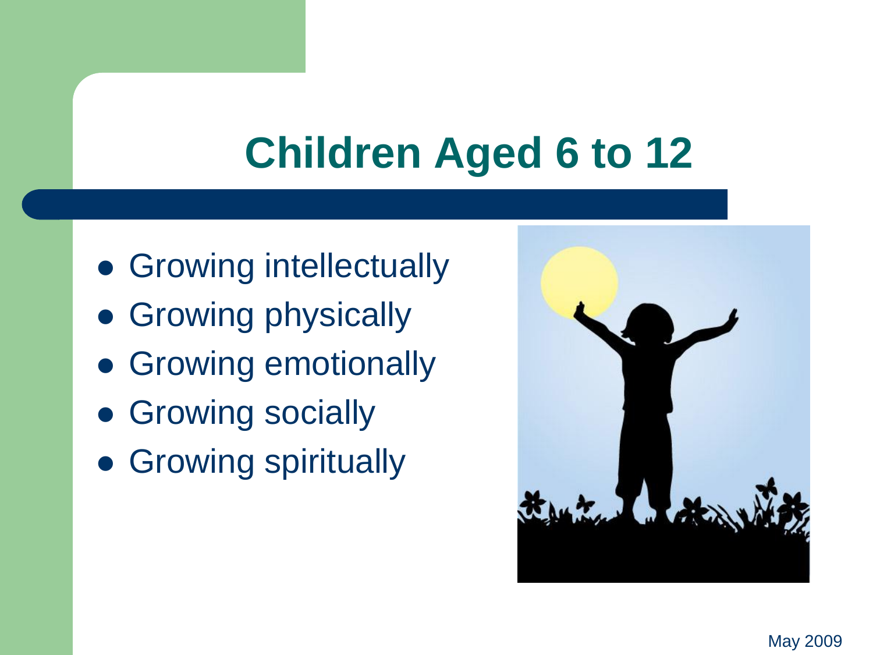### **Children Aged 6 to 12**

- Growing intellectually
- Growing physically
- Growing emotionally
- Growing socially
- **Growing spiritually**

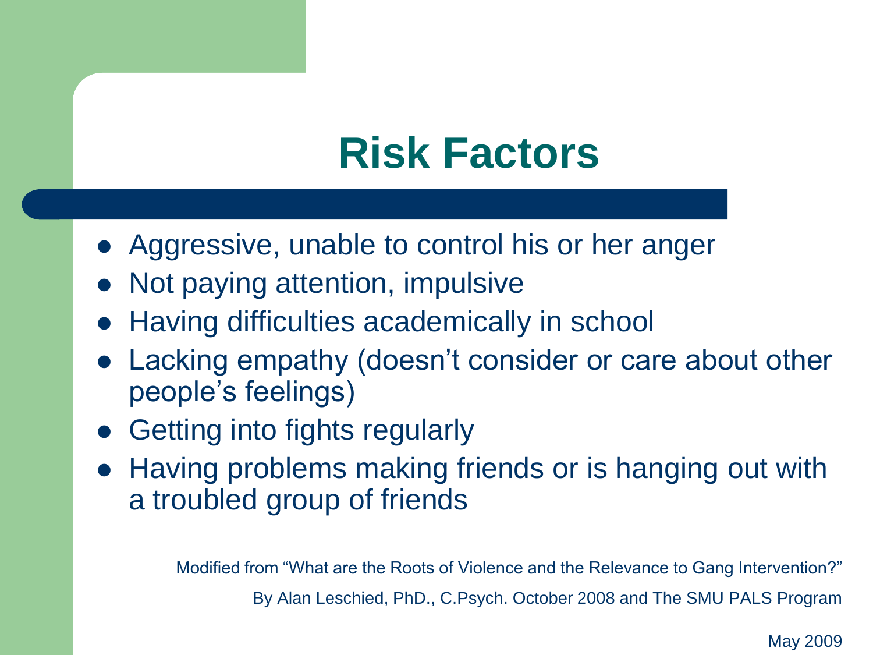### **Risk Factors**

- Aggressive, unable to control his or her anger
- Not paying attention, impulsive
- Having difficulties academically in school
- Lacking empathy (doesn't consider or care about other people's feelings)
- Getting into fights regularly
- Having problems making friends or is hanging out with a troubled group of friends

Modified from "What are the Roots of Violence and the Relevance to Gang Intervention?" By Alan Leschied, PhD., C.Psych. October 2008 and The SMU PALS Program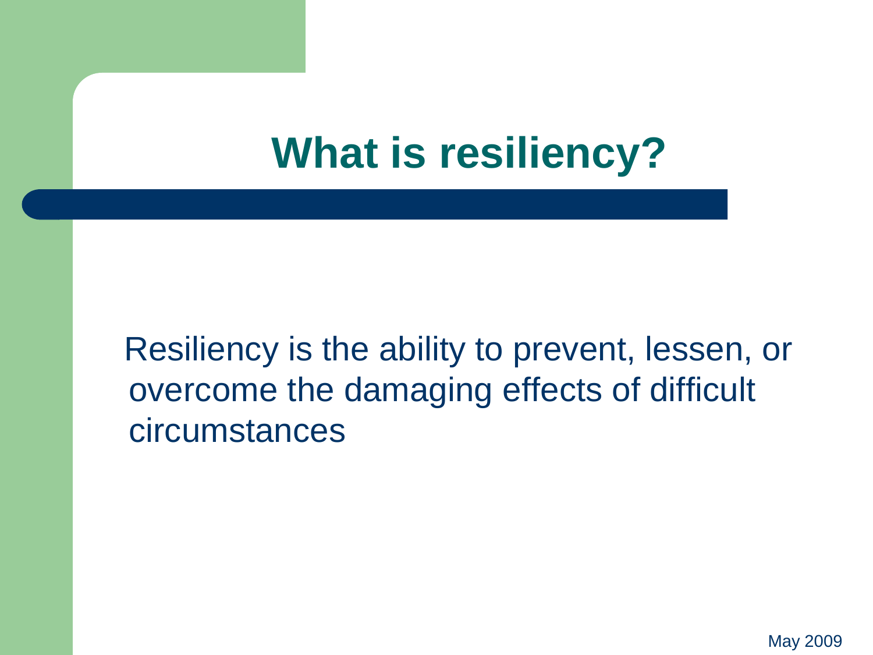### **What is resiliency?**

 Resiliency is the ability to prevent, lessen, or overcome the damaging effects of difficult circumstances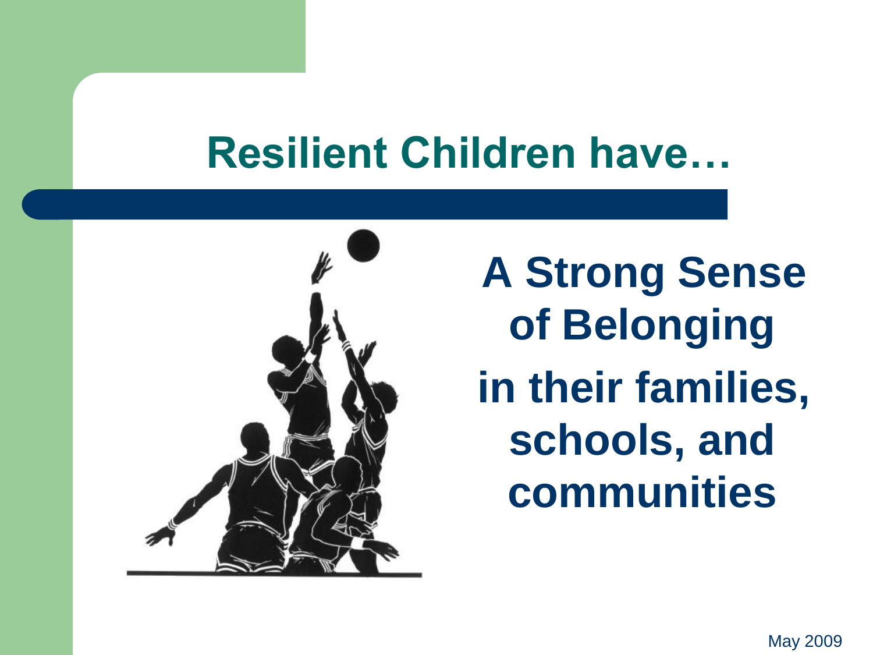### **Resilient Children have…**



 **A Strong Sense of Belonging in their families, schools, and communities**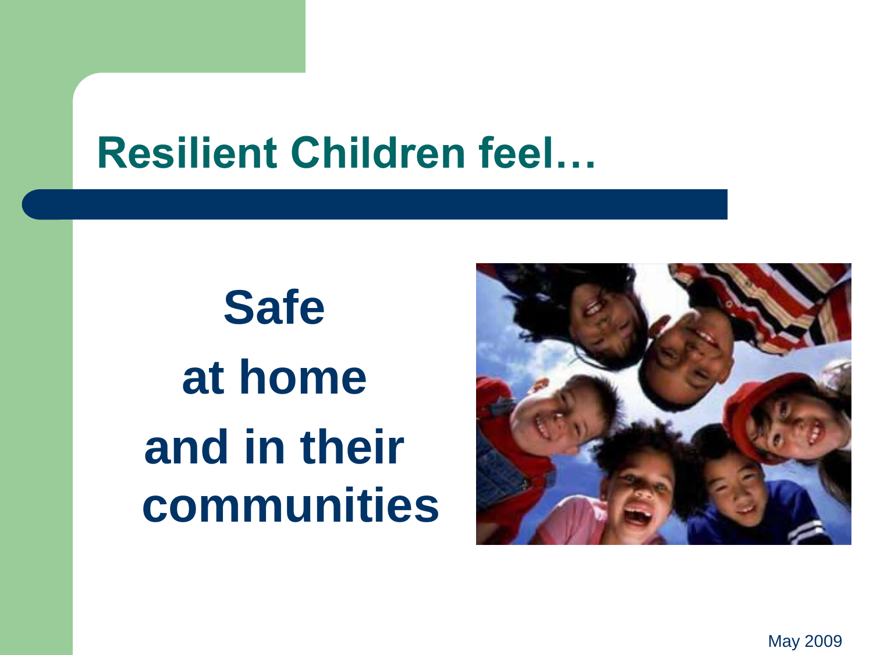### **Resilient Children feel…**

**Safe at home and in their communities**

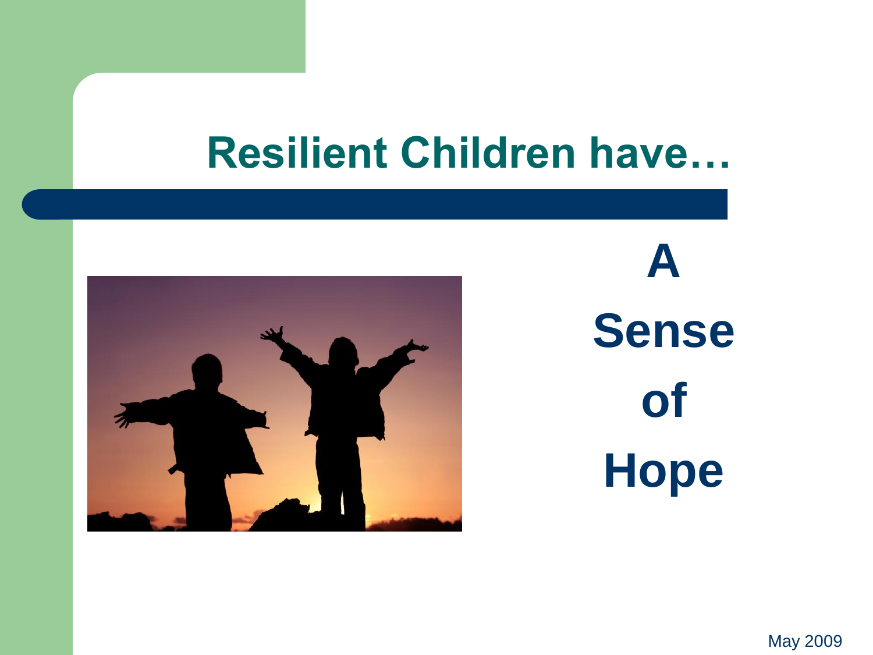### **Resilient Children have…**



**A Sense of Hope**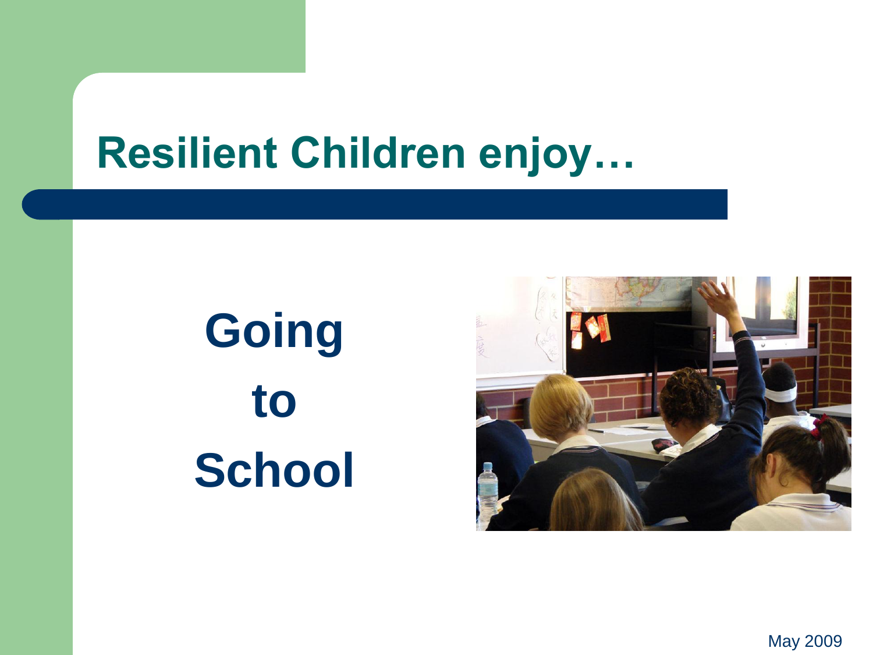### **Resilient Children enjoy…**

# **Going to School**

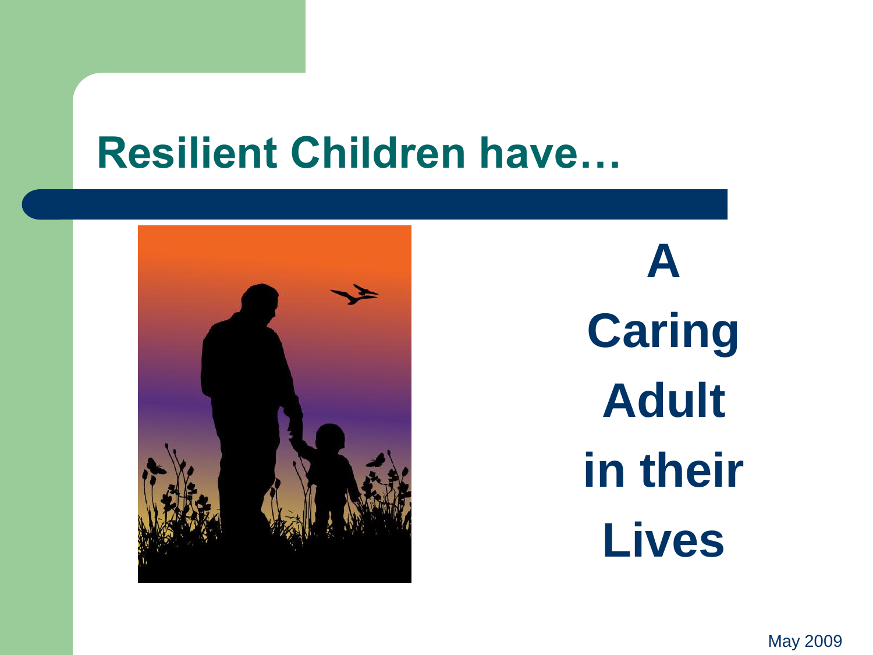### **Resilient Children have…**



**A Caring Adult in their Lives**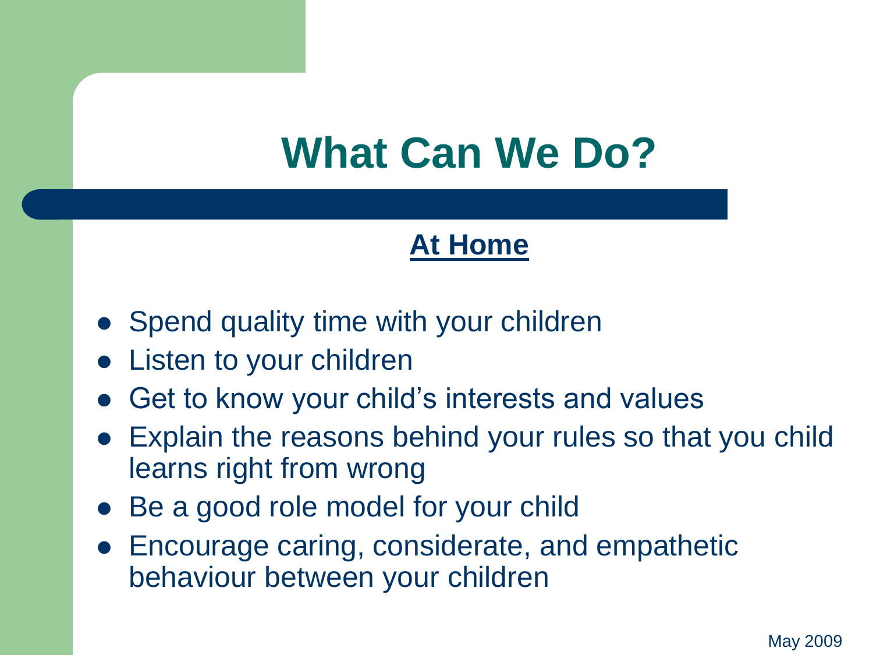#### **At Home**

- Spend quality time with your children
- **•** Listen to your children
- Get to know your child's interests and values
- Explain the reasons behind your rules so that you child learns right from wrong
- Be a good role model for your child
- Encourage caring, considerate, and empathetic behaviour between your children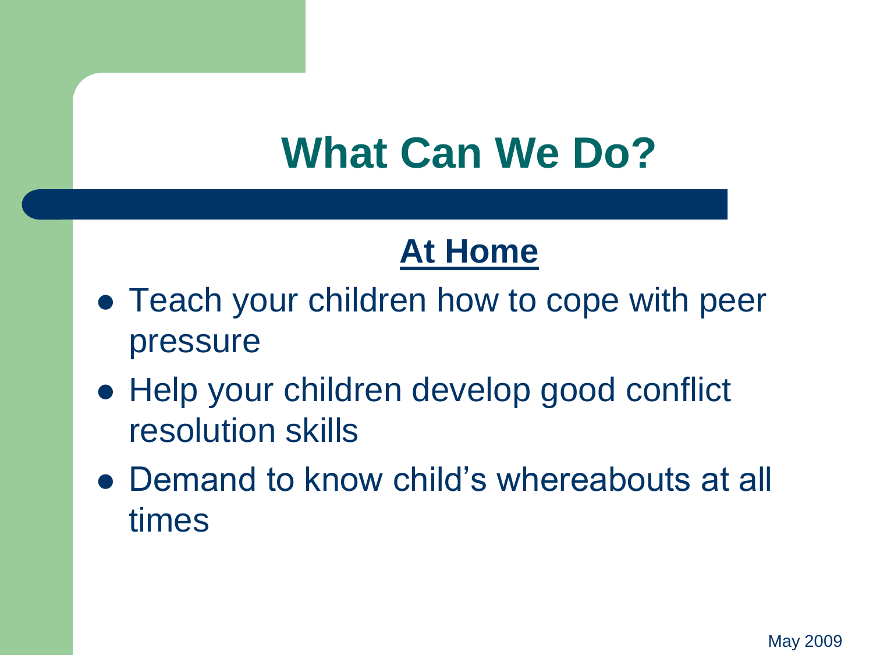### **At Home**

- Teach your children how to cope with peer pressure
- Help your children develop good conflict resolution skills
- Demand to know child's whereabouts at all times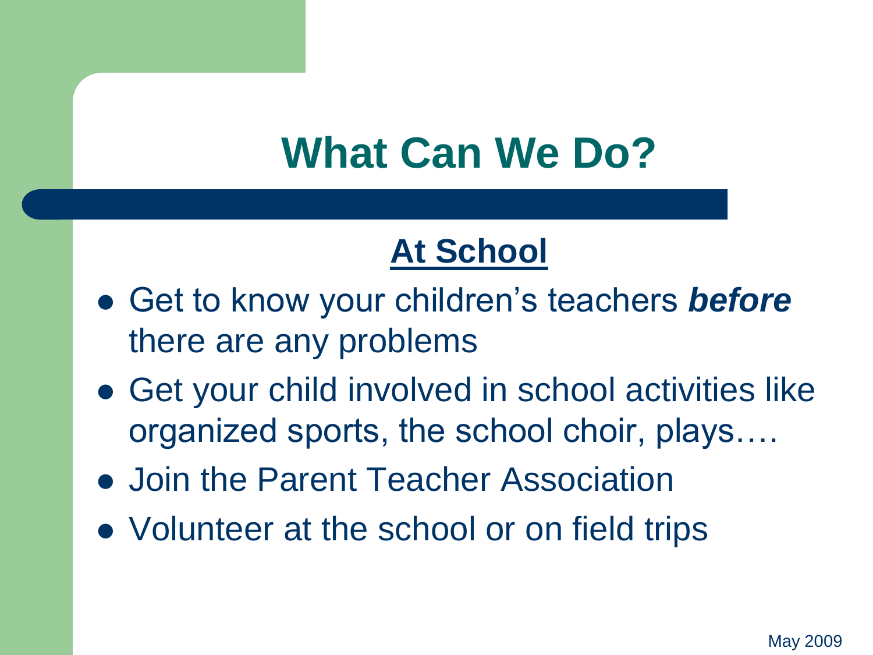### **At School**

- Get to know your children's teachers *before*  there are any problems
- Get your child involved in school activities like organized sports, the school choir, plays….
- Join the Parent Teacher Association
- Volunteer at the school or on field trips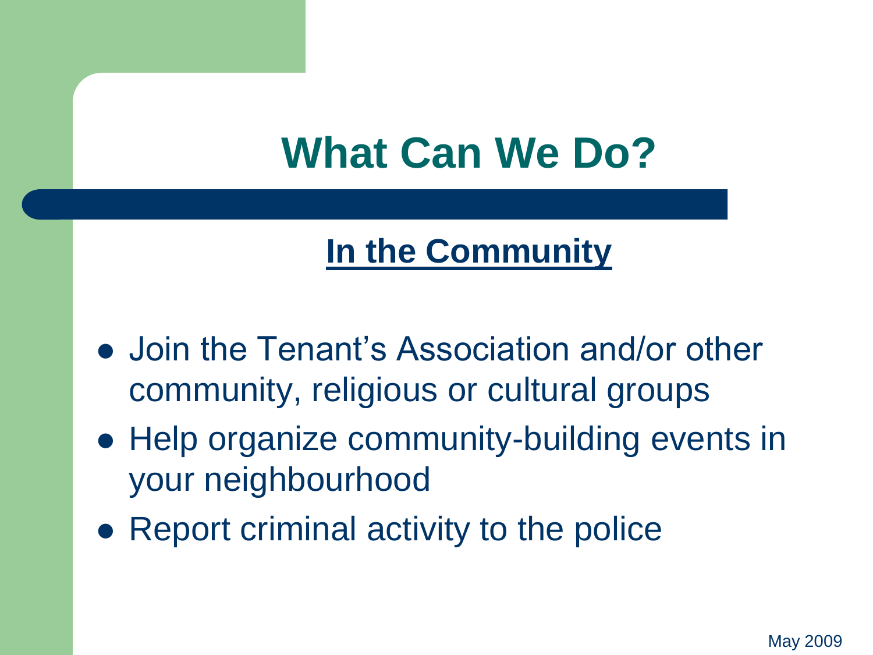### **In the Community**

- Join the Tenant's Association and/or other community, religious or cultural groups
- Help organize community-building events in your neighbourhood
- Report criminal activity to the police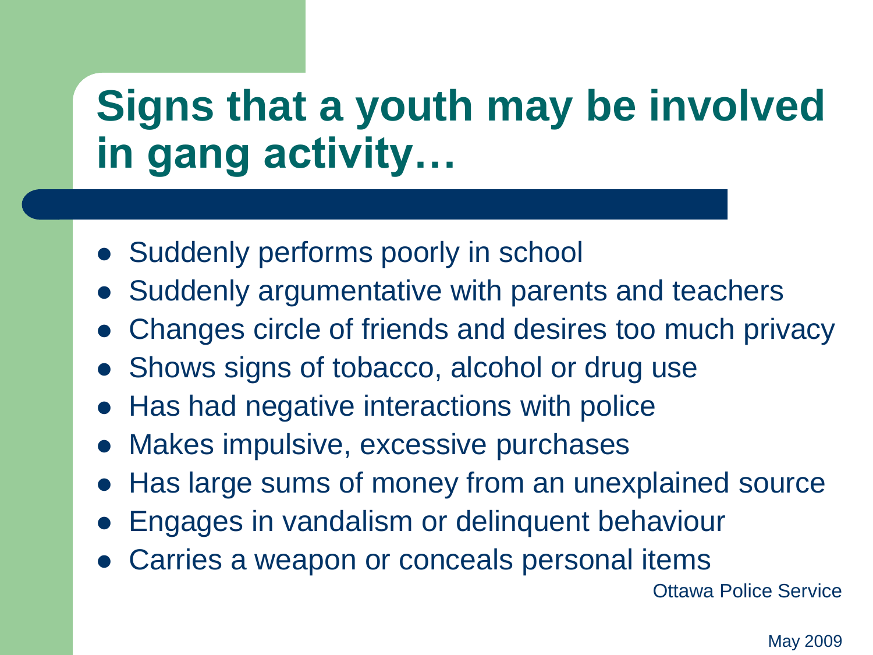### **Signs that a youth may be involved in gang activity…**

- Suddenly performs poorly in school
- Suddenly argumentative with parents and teachers
- Changes circle of friends and desires too much privacy
- Shows signs of tobacco, alcohol or drug use
- Has had negative interactions with police
- Makes impulsive, excessive purchases
- Has large sums of money from an unexplained source
- Engages in vandalism or delinquent behaviour
- Carries a weapon or conceals personal items

Ottawa Police Service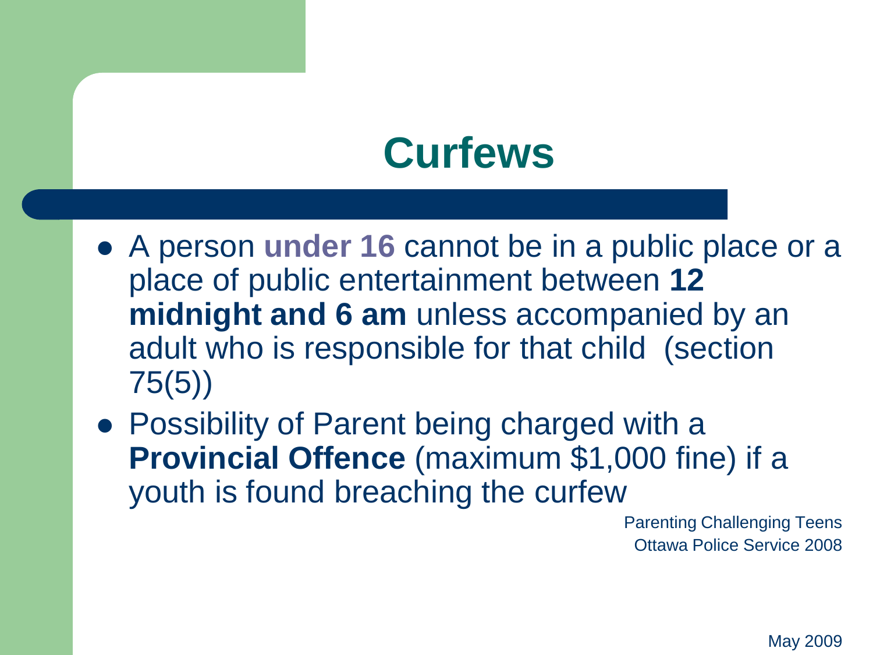### **Curfews**

- A person **under 16** cannot be in a public place or a place of public entertainment between **12 midnight and 6 am** unless accompanied by an adult who is responsible for that child (section 75(5))
- Possibility of Parent being charged with a **Provincial Offence** (maximum \$1,000 fine) if a youth is found breaching the curfew

Parenting Challenging Teens Ottawa Police Service 2008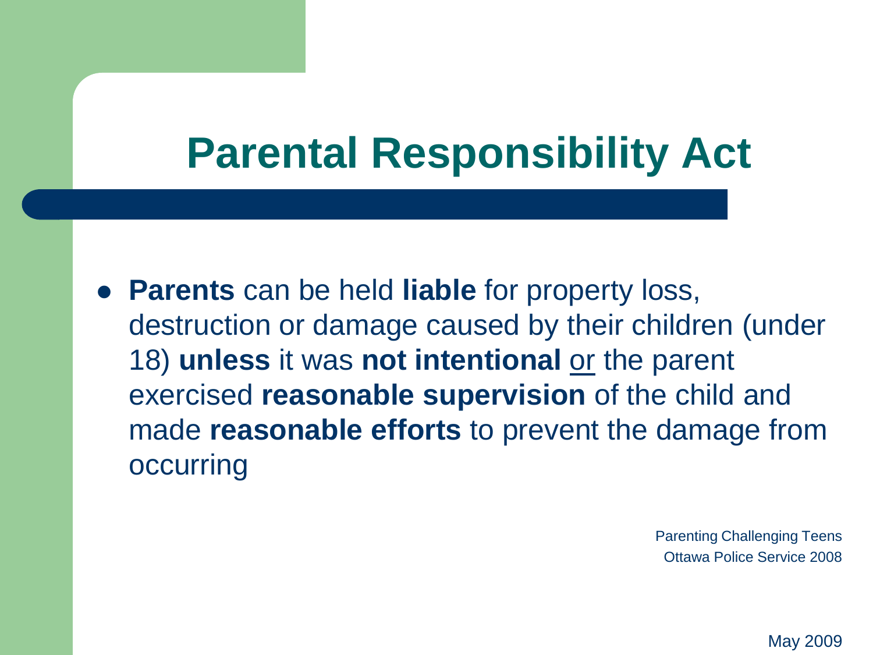### **Parental Responsibility Act**

 **Parents** can be held **liable** for property loss, destruction or damage caused by their children (under 18) **unless** it was **not intentional** or the parent exercised **reasonable supervision** of the child and made **reasonable efforts** to prevent the damage from occurring

> Parenting Challenging Teens Ottawa Police Service 2008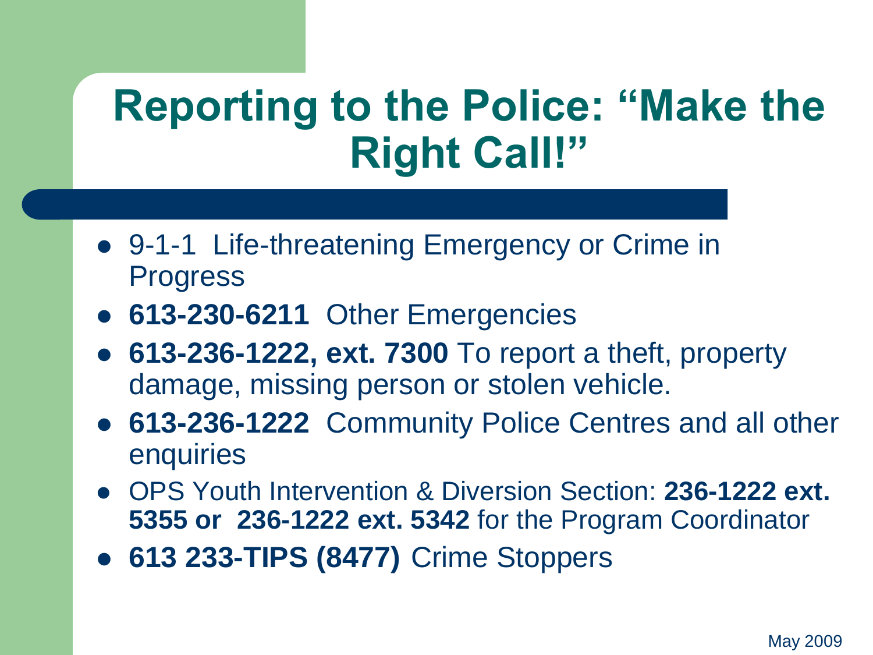### **Reporting to the Police: "Make the Right Call!"**

- 9-1-1 Life-threatening Emergency or Crime in Progress
- **613-230-6211** Other Emergencies
- **613-236-1222, ext. 7300** To report a theft, property damage, missing person or stolen vehicle.
- **613-236-1222** Community Police Centres and all other enquiries
- OPS Youth Intervention & Diversion Section: **236-1222 ext. 5355 or 236-1222 ext. 5342** for the Program Coordinator
- **613 233-TIPS (8477)** Crime Stoppers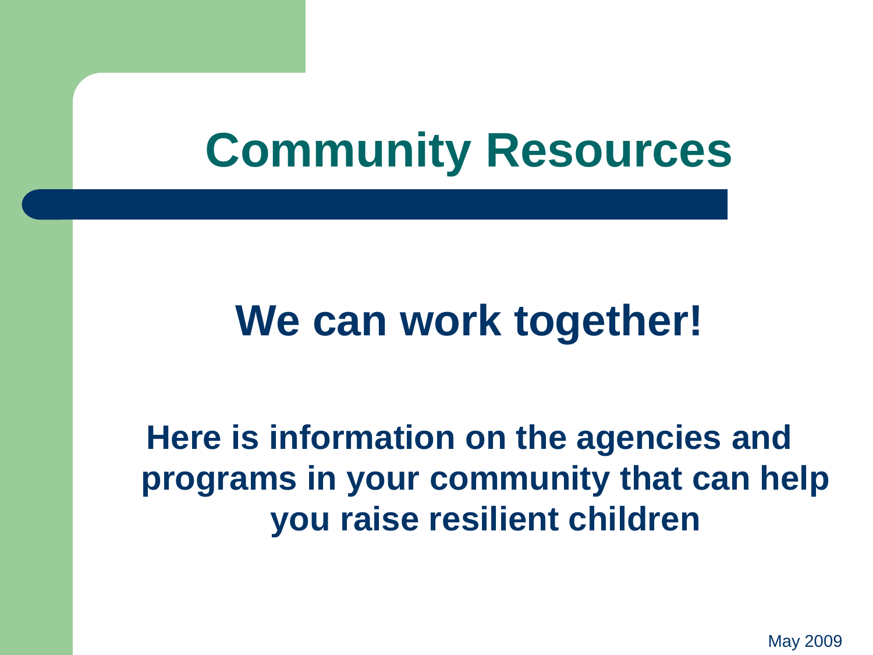# **Community Resources**

### **We can work together!**

**Here is information on the agencies and programs in your community that can help you raise resilient children**